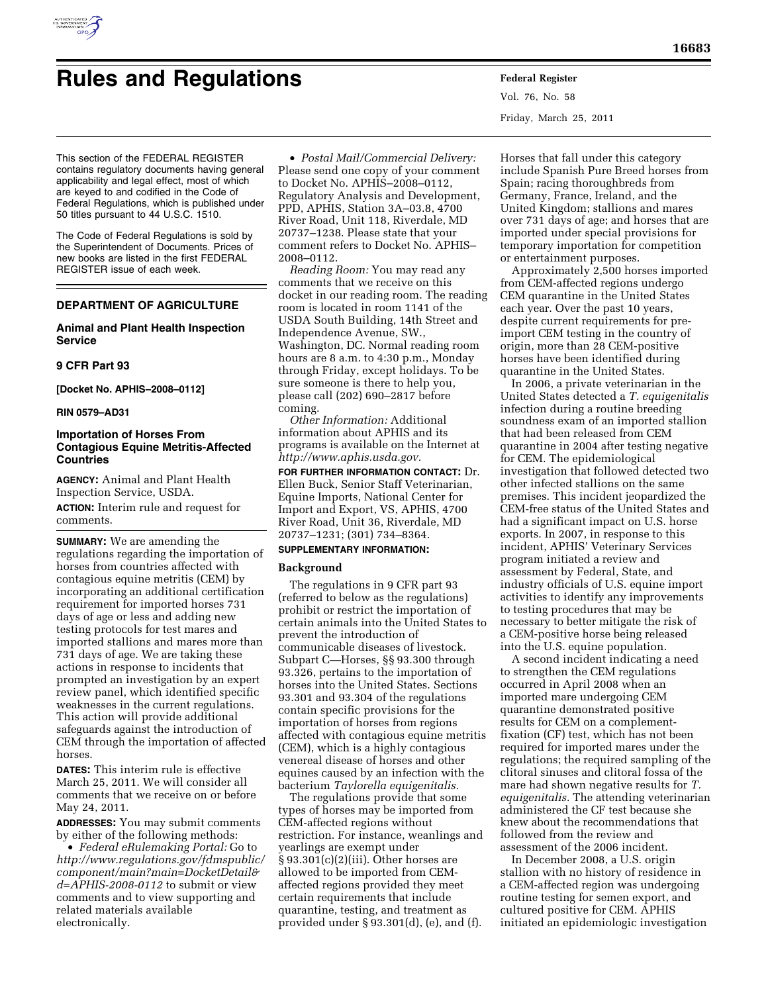

# **Rules and Regulations Federal Register**

Vol. 76, No. 58 Friday, March 25, 2011

This section of the FEDERAL REGISTER contains regulatory documents having general applicability and legal effect, most of which are keyed to and codified in the Code of Federal Regulations, which is published under 50 titles pursuant to 44 U.S.C. 1510.

The Code of Federal Regulations is sold by the Superintendent of Documents. Prices of new books are listed in the first FEDERAL REGISTER issue of each week.

# **DEPARTMENT OF AGRICULTURE**

# **Animal and Plant Health Inspection Service**

## **9 CFR Part 93**

**[Docket No. APHIS–2008–0112]** 

# **RIN 0579–AD31**

# **Importation of Horses From Contagious Equine Metritis-Affected Countries**

**AGENCY:** Animal and Plant Health Inspection Service, USDA. **ACTION:** Interim rule and request for comments.

**SUMMARY:** We are amending the regulations regarding the importation of horses from countries affected with contagious equine metritis (CEM) by incorporating an additional certification requirement for imported horses 731 days of age or less and adding new testing protocols for test mares and imported stallions and mares more than 731 days of age. We are taking these actions in response to incidents that prompted an investigation by an expert review panel, which identified specific weaknesses in the current regulations. This action will provide additional safeguards against the introduction of CEM through the importation of affected horses.

**DATES:** This interim rule is effective March 25, 2011. We will consider all comments that we receive on or before May 24, 2011.

**ADDRESSES:** You may submit comments by either of the following methods:

• *Federal eRulemaking Portal:* Go to *[http://www.regulations.gov/fdmspublic/](http://www.regulations.gov/fdmspublic/component/main?main=DocketDetail&d=APHIS-2008-0112) [component/main?main=DocketDetail&](http://www.regulations.gov/fdmspublic/component/main?main=DocketDetail&d=APHIS-2008-0112) [d=APHIS-2008-0112](http://www.regulations.gov/fdmspublic/component/main?main=DocketDetail&d=APHIS-2008-0112)* to submit or view comments and to view supporting and related materials available electronically.

• *Postal Mail/Commercial Delivery:*  Please send one copy of your comment to Docket No. APHIS–2008–0112, Regulatory Analysis and Development, PPD, APHIS, Station 3A–03.8, 4700 River Road, Unit 118, Riverdale, MD 20737–1238. Please state that your comment refers to Docket No. APHIS– 2008–0112.

*Reading Room:* You may read any comments that we receive on this docket in our reading room. The reading room is located in room 1141 of the USDA South Building, 14th Street and Independence Avenue, SW., Washington, DC. Normal reading room hours are 8 a.m. to 4:30 p.m., Monday through Friday, except holidays. To be sure someone is there to help you, please call (202) 690–2817 before coming.

*Other Information:* Additional information about APHIS and its programs is available on the Internet at *[http://www.aphis.usda.gov.](http://www.aphis.usda.gov)* 

**FOR FURTHER INFORMATION CONTACT:** Dr. Ellen Buck, Senior Staff Veterinarian, Equine Imports, National Center for Import and Export, VS, APHIS, 4700 River Road, Unit 36, Riverdale, MD 20737–1231; (301) 734–8364.

# **SUPPLEMENTARY INFORMATION:**

#### **Background**

The regulations in 9 CFR part 93 (referred to below as the regulations) prohibit or restrict the importation of certain animals into the United States to prevent the introduction of communicable diseases of livestock. Subpart C—Horses, §§ 93.300 through 93.326, pertains to the importation of horses into the United States. Sections 93.301 and 93.304 of the regulations contain specific provisions for the importation of horses from regions affected with contagious equine metritis (CEM), which is a highly contagious venereal disease of horses and other equines caused by an infection with the bacterium *Taylorella equigenitalis.* 

The regulations provide that some types of horses may be imported from CEM-affected regions without restriction. For instance, weanlings and yearlings are exempt under § 93.301(c)(2)(iii). Other horses are allowed to be imported from CEMaffected regions provided they meet certain requirements that include quarantine, testing, and treatment as provided under § 93.301(d), (e), and (f).

Horses that fall under this category include Spanish Pure Breed horses from Spain; racing thoroughbreds from Germany, France, Ireland, and the United Kingdom; stallions and mares over 731 days of age; and horses that are imported under special provisions for temporary importation for competition or entertainment purposes.

Approximately 2,500 horses imported from CEM-affected regions undergo CEM quarantine in the United States each year. Over the past 10 years, despite current requirements for preimport CEM testing in the country of origin, more than 28 CEM-positive horses have been identified during quarantine in the United States.

In 2006, a private veterinarian in the United States detected a *T. equigenitalis*  infection during a routine breeding soundness exam of an imported stallion that had been released from CEM quarantine in 2004 after testing negative for CEM. The epidemiological investigation that followed detected two other infected stallions on the same premises. This incident jeopardized the CEM-free status of the United States and had a significant impact on U.S. horse exports. In 2007, in response to this incident, APHIS' Veterinary Services program initiated a review and assessment by Federal, State, and industry officials of U.S. equine import activities to identify any improvements to testing procedures that may be necessary to better mitigate the risk of a CEM-positive horse being released into the U.S. equine population.

A second incident indicating a need to strengthen the CEM regulations occurred in April 2008 when an imported mare undergoing CEM quarantine demonstrated positive results for CEM on a complementfixation (CF) test, which has not been required for imported mares under the regulations; the required sampling of the clitoral sinuses and clitoral fossa of the mare had shown negative results for *T. equigenitalis.* The attending veterinarian administered the CF test because she knew about the recommendations that followed from the review and assessment of the 2006 incident.

In December 2008, a U.S. origin stallion with no history of residence in a CEM-affected region was undergoing routine testing for semen export, and cultured positive for CEM. APHIS initiated an epidemiologic investigation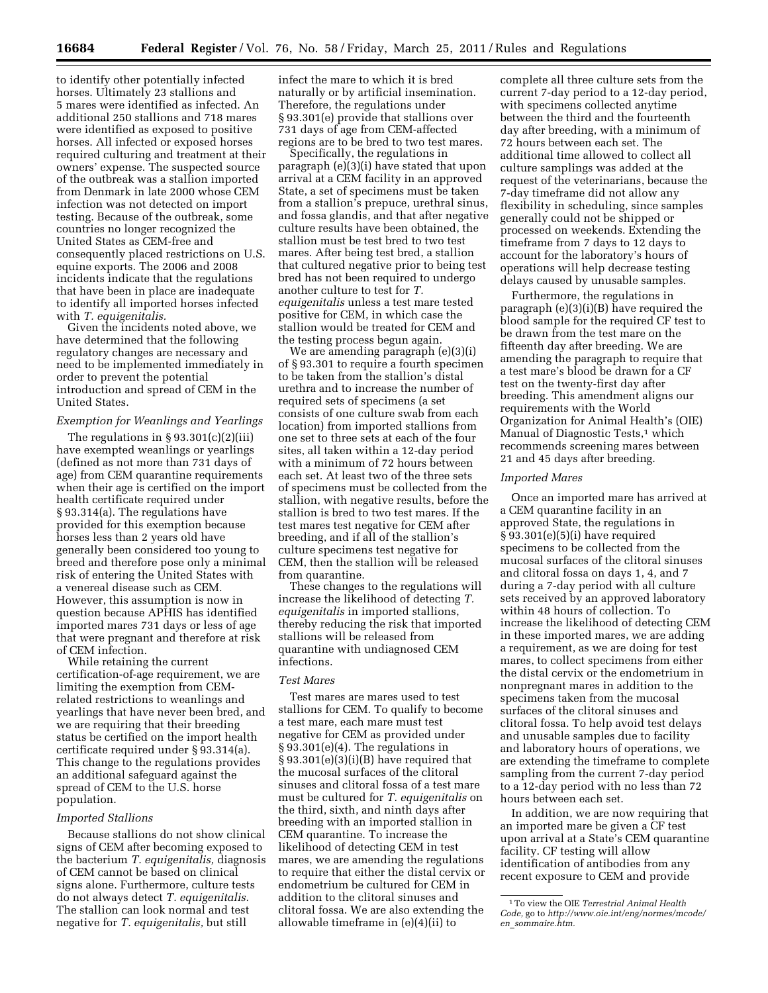to identify other potentially infected horses. Ultimately 23 stallions and 5 mares were identified as infected. An additional 250 stallions and 718 mares were identified as exposed to positive horses. All infected or exposed horses required culturing and treatment at their owners' expense. The suspected source of the outbreak was a stallion imported from Denmark in late 2000 whose CEM infection was not detected on import testing. Because of the outbreak, some countries no longer recognized the United States as CEM-free and consequently placed restrictions on U.S. equine exports. The 2006 and 2008 incidents indicate that the regulations that have been in place are inadequate to identify all imported horses infected with *T. equigenitalis.* 

Given the incidents noted above, we have determined that the following regulatory changes are necessary and need to be implemented immediately in order to prevent the potential introduction and spread of CEM in the United States.

#### *Exemption for Weanlings and Yearlings*

The regulations in  $\S 93.301(c)(2)(iii)$ have exempted weanlings or yearlings (defined as not more than 731 days of age) from CEM quarantine requirements when their age is certified on the import health certificate required under § 93.314(a). The regulations have provided for this exemption because horses less than 2 years old have generally been considered too young to breed and therefore pose only a minimal risk of entering the United States with a venereal disease such as CEM. However, this assumption is now in question because APHIS has identified imported mares 731 days or less of age that were pregnant and therefore at risk of CEM infection.

While retaining the current certification-of-age requirement, we are limiting the exemption from CEMrelated restrictions to weanlings and yearlings that have never been bred, and we are requiring that their breeding status be certified on the import health certificate required under § 93.314(a). This change to the regulations provides an additional safeguard against the spread of CEM to the U.S. horse population.

#### *Imported Stallions*

Because stallions do not show clinical signs of CEM after becoming exposed to the bacterium *T. equigenitalis,* diagnosis of CEM cannot be based on clinical signs alone. Furthermore, culture tests do not always detect *T. equigenitalis.*  The stallion can look normal and test negative for *T. equigenitalis,* but still

infect the mare to which it is bred naturally or by artificial insemination. Therefore, the regulations under § 93.301(e) provide that stallions over 731 days of age from CEM-affected regions are to be bred to two test mares.

Specifically, the regulations in paragraph (e)(3)(i) have stated that upon arrival at a CEM facility in an approved State, a set of specimens must be taken from a stallion's prepuce, urethral sinus, and fossa glandis, and that after negative culture results have been obtained, the stallion must be test bred to two test mares. After being test bred, a stallion that cultured negative prior to being test bred has not been required to undergo another culture to test for *T. equigenitalis* unless a test mare tested positive for CEM, in which case the stallion would be treated for CEM and the testing process begun again.

We are amending paragraph (e)(3)(i) of § 93.301 to require a fourth specimen to be taken from the stallion's distal urethra and to increase the number of required sets of specimens (a set consists of one culture swab from each location) from imported stallions from one set to three sets at each of the four sites, all taken within a 12-day period with a minimum of 72 hours between each set. At least two of the three sets of specimens must be collected from the stallion, with negative results, before the stallion is bred to two test mares. If the test mares test negative for CEM after breeding, and if all of the stallion's culture specimens test negative for CEM, then the stallion will be released from quarantine.

These changes to the regulations will increase the likelihood of detecting *T. equigenitalis* in imported stallions, thereby reducing the risk that imported stallions will be released from quarantine with undiagnosed CEM infections.

#### *Test Mares*

Test mares are mares used to test stallions for CEM. To qualify to become a test mare, each mare must test negative for CEM as provided under § 93.301(e)(4). The regulations in  $§ 93.301(e)(3)(i)(B)$  have required that the mucosal surfaces of the clitoral sinuses and clitoral fossa of a test mare must be cultured for *T. equigenitalis* on the third, sixth, and ninth days after breeding with an imported stallion in CEM quarantine. To increase the likelihood of detecting CEM in test mares, we are amending the regulations to require that either the distal cervix or endometrium be cultured for CEM in addition to the clitoral sinuses and clitoral fossa. We are also extending the allowable timeframe in (e)(4)(ii) to

complete all three culture sets from the current 7-day period to a 12-day period, with specimens collected anytime between the third and the fourteenth day after breeding, with a minimum of 72 hours between each set. The additional time allowed to collect all culture samplings was added at the request of the veterinarians, because the 7-day timeframe did not allow any flexibility in scheduling, since samples generally could not be shipped or processed on weekends. Extending the timeframe from 7 days to 12 days to account for the laboratory's hours of operations will help decrease testing delays caused by unusable samples.

Furthermore, the regulations in paragraph (e)(3)(i)(B) have required the blood sample for the required CF test to be drawn from the test mare on the fifteenth day after breeding. We are amending the paragraph to require that a test mare's blood be drawn for a CF test on the twenty-first day after breeding. This amendment aligns our requirements with the World Organization for Animal Health's (OIE) Manual of Diagnostic Tests,<sup>1</sup> which recommends screening mares between 21 and 45 days after breeding.

#### *Imported Mares*

Once an imported mare has arrived at a CEM quarantine facility in an approved State, the regulations in § 93.301(e)(5)(i) have required specimens to be collected from the mucosal surfaces of the clitoral sinuses and clitoral fossa on days 1, 4, and 7 during a 7-day period with all culture sets received by an approved laboratory within 48 hours of collection. To increase the likelihood of detecting CEM in these imported mares, we are adding a requirement, as we are doing for test mares, to collect specimens from either the distal cervix or the endometrium in nonpregnant mares in addition to the specimens taken from the mucosal surfaces of the clitoral sinuses and clitoral fossa. To help avoid test delays and unusable samples due to facility and laboratory hours of operations, we are extending the timeframe to complete sampling from the current 7-day period to a 12-day period with no less than 72 hours between each set.

In addition, we are now requiring that an imported mare be given a CF test upon arrival at a State's CEM quarantine facility. CF testing will allow identification of antibodies from any recent exposure to CEM and provide

<sup>1</sup>To view the OIE *Terrestrial Animal Health Code,* go to *[http://www.oie.int/eng/normes/mcode/](http://www.oie.int/eng/normes/mcode/en_sommaire.htm)  en*\_*[sommaire.htm.](http://www.oie.int/eng/normes/mcode/en_sommaire.htm)*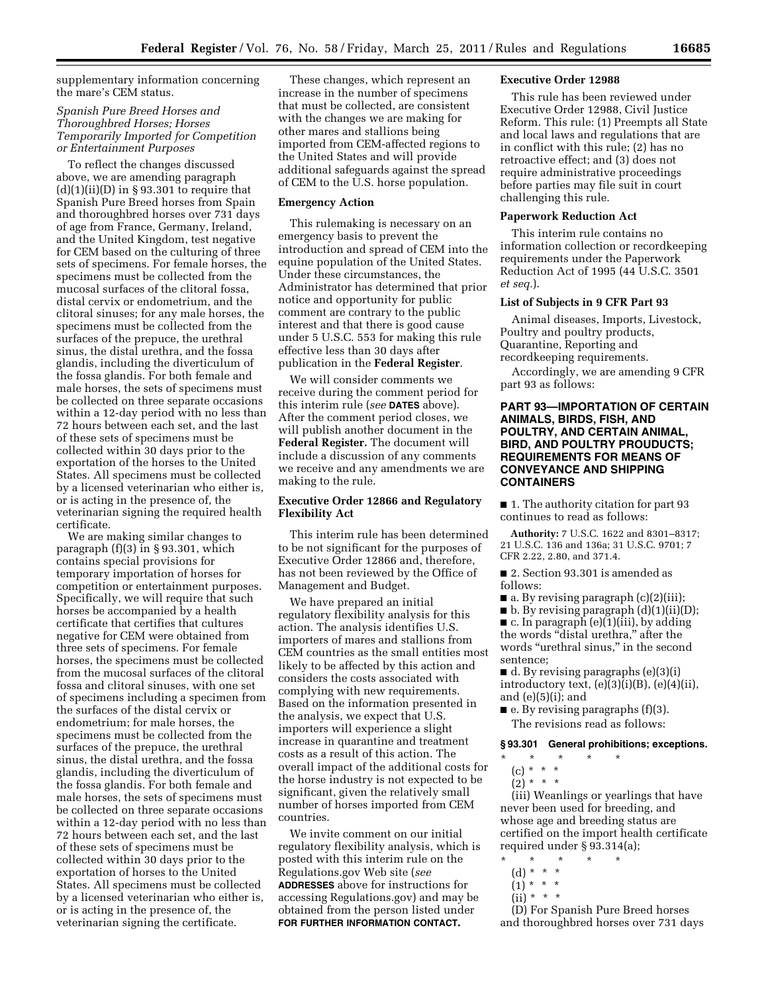supplementary information concerning the mare's CEM status.

# *Spanish Pure Breed Horses and Thoroughbred Horses; Horses Temporarily Imported for Competition or Entertainment Purposes*

To reflect the changes discussed above, we are amending paragraph  $(d)(1)(ii)(D)$  in § 93.301 to require that Spanish Pure Breed horses from Spain and thoroughbred horses over 731 days of age from France, Germany, Ireland, and the United Kingdom, test negative for CEM based on the culturing of three sets of specimens. For female horses, the specimens must be collected from the mucosal surfaces of the clitoral fossa, distal cervix or endometrium, and the clitoral sinuses; for any male horses, the specimens must be collected from the surfaces of the prepuce, the urethral sinus, the distal urethra, and the fossa glandis, including the diverticulum of the fossa glandis. For both female and male horses, the sets of specimens must be collected on three separate occasions within a 12-day period with no less than 72 hours between each set, and the last of these sets of specimens must be collected within 30 days prior to the exportation of the horses to the United States. All specimens must be collected by a licensed veterinarian who either is, or is acting in the presence of, the veterinarian signing the required health certificate.

We are making similar changes to paragraph (f)(3) in § 93.301, which contains special provisions for temporary importation of horses for competition or entertainment purposes. Specifically, we will require that such horses be accompanied by a health certificate that certifies that cultures negative for CEM were obtained from three sets of specimens. For female horses, the specimens must be collected from the mucosal surfaces of the clitoral fossa and clitoral sinuses, with one set of specimens including a specimen from the surfaces of the distal cervix or endometrium; for male horses, the specimens must be collected from the surfaces of the prepuce, the urethral sinus, the distal urethra, and the fossa glandis, including the diverticulum of the fossa glandis. For both female and male horses, the sets of specimens must be collected on three separate occasions within a 12-day period with no less than 72 hours between each set, and the last of these sets of specimens must be collected within 30 days prior to the exportation of horses to the United States. All specimens must be collected by a licensed veterinarian who either is, or is acting in the presence of, the veterinarian signing the certificate.

These changes, which represent an increase in the number of specimens that must be collected, are consistent with the changes we are making for other mares and stallions being imported from CEM-affected regions to the United States and will provide additional safeguards against the spread of CEM to the U.S. horse population.

#### **Emergency Action**

This rulemaking is necessary on an emergency basis to prevent the introduction and spread of CEM into the equine population of the United States. Under these circumstances, the Administrator has determined that prior notice and opportunity for public comment are contrary to the public interest and that there is good cause under 5 U.S.C. 553 for making this rule effective less than 30 days after publication in the **Federal Register**.

We will consider comments we receive during the comment period for this interim rule (*see* **DATES** above). After the comment period closes, we will publish another document in the **Federal Register.** The document will include a discussion of any comments we receive and any amendments we are making to the rule.

#### **Executive Order 12866 and Regulatory Flexibility Act**

This interim rule has been determined to be not significant for the purposes of Executive Order 12866 and, therefore, has not been reviewed by the Office of Management and Budget.

We have prepared an initial regulatory flexibility analysis for this action. The analysis identifies U.S. importers of mares and stallions from CEM countries as the small entities most likely to be affected by this action and considers the costs associated with complying with new requirements. Based on the information presented in the analysis, we expect that U.S. importers will experience a slight increase in quarantine and treatment costs as a result of this action. The overall impact of the additional costs for the horse industry is not expected to be significant, given the relatively small number of horses imported from CEM countries.

We invite comment on our initial regulatory flexibility analysis, which is posted with this interim rule on the Regulations.gov Web site (*see*  **ADDRESSES** above for instructions for accessing Regulations.gov) and may be obtained from the person listed under **FOR FURTHER INFORMATION CONTACT.** 

#### **Executive Order 12988**

This rule has been reviewed under Executive Order 12988, Civil Justice Reform. This rule: (1) Preempts all State and local laws and regulations that are in conflict with this rule; (2) has no retroactive effect; and (3) does not require administrative proceedings before parties may file suit in court challenging this rule.

#### **Paperwork Reduction Act**

This interim rule contains no information collection or recordkeeping requirements under the Paperwork Reduction Act of 1995 (44 U.S.C. 3501 *et seq.*).

#### **List of Subjects in 9 CFR Part 93**

Animal diseases, Imports, Livestock, Poultry and poultry products, Quarantine, Reporting and recordkeeping requirements.

Accordingly, we are amending 9 CFR part 93 as follows:

# **PART 93—IMPORTATION OF CERTAIN ANIMALS, BIRDS, FISH, AND POULTRY, AND CERTAIN ANIMAL, BIRD, AND POULTRY PROUDUCTS; REQUIREMENTS FOR MEANS OF CONVEYANCE AND SHIPPING CONTAINERS**

■ 1. The authority citation for part 93 continues to read as follows:

**Authority:** 7 U.S.C. 1622 and 8301–8317; 21 U.S.C. 136 and 136a; 31 U.S.C. 9701; 7 CFR 2.22, 2.80, and 371.4.

■ 2. Section 93.301 is amended as follows:

- a. By revising paragraph (c)(2)(iii);
- $\blacksquare$  b. By revising paragraph  $(d)(1)(ii)(D);$

■ c. In paragraph (e)(1)(iii), by adding the words "distal urethra," after the words "urethral sinus," in the second sentence;

■ d. By revising paragraphs (e)(3)(i) introductory text,  $(e)(3)(i)(B)$ ,  $(e)(4)(ii)$ , and  $(e)(5)(i)$ ; and

 $\blacksquare$  e. By revising paragraphs (f)(3). The revisions read as follows:

#### **§ 93.301 General prohibitions; exceptions.**

- \* \* \* \* \*
	- (c) \* \* \*
	- $(2)^*$  \* \*

(iii) Weanlings or yearlings that have never been used for breeding, and whose age and breeding status are certified on the import health certificate required under § 93.314(a);

- \* \* \* \* \*
- (d) \* \* \*  $(1) * * * *$
- $(ii) * * * *$ 
	-

(D) For Spanish Pure Breed horses and thoroughbred horses over 731 days